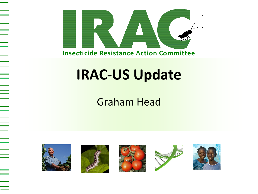

### **IRAC-US Update**

### Graham Head

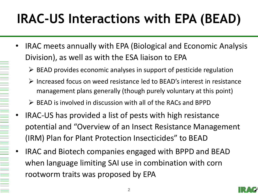# **IRAC-US Interactions with EPA (BEAD)**

- IRAC meets annually with EPA (Biological and Economic Analysis Division), as well as with the ESA liaison to EPA
	- $\triangleright$  BEAD provides economic analyses in support of pesticide regulation
	- $\triangleright$  Increased focus on weed resistance led to BEAD's interest in resistance management plans generally (though purely voluntary at this point)
	- $\triangleright$  BEAD is involved in discussion with all of the RACs and BPPD
- IRAC-US has provided a list of pests with high resistance potential and "Overview of an Insect Resistance Management (IRM) Plan for Plant Protection Insecticides" to BEAD
- IRAC and Biotech companies engaged with BPPD and BEAD when language limiting SAI use in combination with corn rootworm traits was proposed by EPA

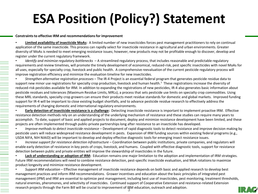### **ESA Position (Policy?) Statement**

#### **Constraints to effective IRM and recommendations for improvement**

• **Limited availability of insecticide MoAs:** A limited number of new insecticides forces pest management practitioners to rely on continual application of the same insecticide. This process can rapidly select for insecticide resistance in agricultural and urban environments. Greater diversity of MoAs is needed to meet emerging resistance issues; however, new products may not be profitable enough to discover, develop and register under the current regulatory framework.

• *Identify and minimize regulatory bottlenecks* – A streamlined regulatory process, that includes reasonable and predictable regulatory requirements and review timelines, will promote the timely development of economical, reduced-risk, pest specific insecticides with novel MoAs for all uses, especially for specialty crop, livestock and public health. A comprehensive reevaluation of the current pesticide regulatory process will improve registration efficiency and minimize the evaluation timeline for new insecticides.

• *Strengthen alternative registration processes* – The IR-4 Project is an essential federal program that generates pesticide residue data to support new minor use registrations for specialty crop production, livestock and human health.<sup>7</sup> These registrations increase the diversity of reduced-risk pesticides available for IRM. In addition to expanding the registrations of new pesticides, IR-4 also generates basic information about pesticide residues and tolerances (Maximum Residue Limits, MRLs), a process that sets pesticide use limits on specialty crop commodities. Using these MRL standards, specialty crop growers can ensure their products meet residue standards for domestic and global markets. Improved funding support for IR-4 will be important to close existing budget shortfalls, and to advance pesticide residue research to effectively address the requirements of changing domestic and international regulatory environments.

• **Early detection of insecticide resistance is a challenge:** Detecting insecticide resistance is important to implement proactive IRM. Effective resistance detection methods rely on an understanding of the underlying mechanism of resistance and these studies can require many years to accomplish. To date, support of basic and applied projects to document, deploy and minimize resistance development have been limited, and these projects are often implemented through public-private partnerships long after resistance to an insecticide has developed.

• *Improve methods to detect insecticide resistance* – Development of rapid diagnostic tools to detect resistance and improve decision making by pesticide users will reduce widespread resistance development in pests. Expansion of IRM funding sources within existing federal programs (e.g., USDA NIFA, NIH NIAID) will be important to develop and deploy effective diagnostic tools for emerging insect resistance issues.

• *Increase support for resistance detection infrastructure* – Coordination between public institutions, private companies, and regulators will enable early detection of resistance in key pests of crops, livestock, and humans. Coupled with effective diagnostic tools, support for resistance detection between public and private entities will improve the stewardship of insecticides in the future.

Lack of understanding or adoption of IRM: Education remains one major limitation to the adoption and implementation of IRM strategies. Future IRM recommendations will need to combine resistance detection, pest-specific insecticide evaluation, and MoA rotations to maximize product longevity and minimize resistance development.

**3** research projects through the Farm Bill will be crucial to improvement of IRM education, outreach and adoption.• *Support IRM education* – Effective management of insecticide resistance depends on both basic and applied research to develop best management practices and inform IRM recommendations. Grower incentives and education about the basic principles of integrated pest management (IPM) and IRM are essential to optimize pest management, including best use of insecticides, pest monitoring, treatment thresholds, natural enemies, pheromones, and selectivity of insecticides. Continued support of Cooperative Extension and resistance-related Extension

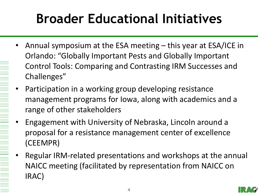## **Broader Educational Initiatives**

- Annual symposium at the ESA meeting this year at ESA/ICE in Orlando: "Globally Important Pests and Globally Important Control Tools: Comparing and Contrasting IRM Successes and Challenges"
- Participation in a working group developing resistance management programs for Iowa, along with academics and a range of other stakeholders
- Engagement with University of Nebraska, Lincoln around a proposal for a resistance management center of excellence (CEEMPR)
- Regular IRM-related presentations and workshops at the annual NAICC meeting (facilitated by representation from NAICC on IRAC)

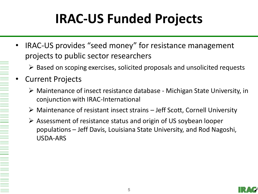# **IRAC-US Funded Projects**

- IRAC-US provides "seed money" for resistance management projects to public sector researchers
	- $\triangleright$  Based on scoping exercises, solicited proposals and unsolicited requests
- Current Projects
	- Maintenance of insect resistance database Michigan State University, in conjunction with IRAC-International
	- $\triangleright$  Maintenance of resistant insect strains Jeff Scott, Cornell University
	- Assessment of resistance status and origin of US soybean looper populations – Jeff Davis, Louisiana State University, and Rod Nagoshi, USDA-ARS

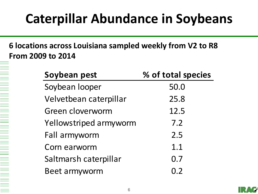### **Caterpillar Abundance in Soybeans**

**6 locations across Louisiana sampled weekly from V2 to R8 From 2009 to 2014**

| Soybean pest           | % of total species |
|------------------------|--------------------|
| Soybean looper         | 50.0               |
| Velvetbean caterpillar | 25.8               |
| Green cloverworm       | 12.5               |
| Yellowstriped armyworm | 7.2                |
| Fall armyworm          | 2.5                |
| Corn earworm           | 1.1                |
| Saltmarsh caterpillar  | 0.7                |
| Beet armyworm          | 0.2                |